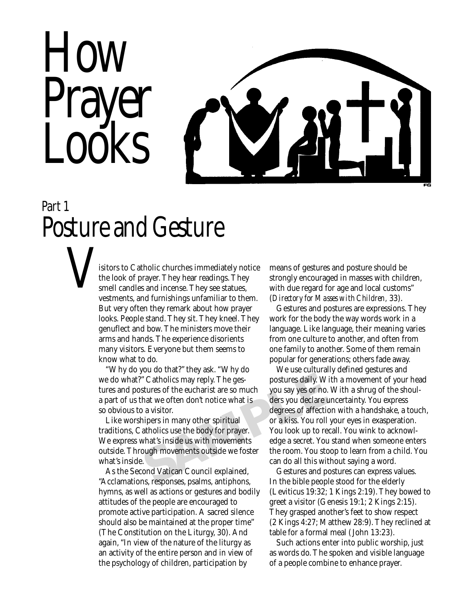

## *Part 1 Posture and Gesture*

isitors to Catholic churches immediately notice the look of prayer. They hear readings. They smell candles and incense. They see statues, vestments, and furnishings unfamiliar to them. But very often they remark about how prayer looks. People stand. They sit. They kneel. They genuflect and bow. The ministers move their arms and hands. The experience disorients many visitors. Everyone but them seems to know what to do. *V*

> "Why do you do that?" they ask. "Why do we do what?" Catholics may reply. The gestures and postures of the eucharist are so much a part of us that we often don't notice what is so obvious to a visitor.

> Like worshipers in many other spiritual traditions, Catholics use the body for prayer. We express what's inside us with movements outside. Through movements outside we foster what's inside.

> As the Second Vatican Council explained, "Acclamations, responses, psalms, antiphons, hymns, as well as actions or gestures and bodily attitudes of the people are encouraged to promote active participation. A sacred silence should also be maintained at the proper time" (The Constitution on the Liturgy, 30). And again, "In view of the nature of the liturgy as an activity of the entire person and in view of the psychology of children, participation by

means of gestures and posture should be strongly encouraged in masses with children, with due regard for age and local customs" (*Directory for Masses with Children,* 33).

Gestures and postures are expressions. They work for the body the way words work in a language. Like language, their meaning varies from one culture to another, and often from one family to another. Some of them remain popular for generations; others fade away.

Fractional Council explained.<br>
SAMPLE AND THE SERVIE SURVEY ON THE SERVICE OF A VISTORY OF A VISTORY OF A VISITOR OF A VISITORY OF A VISITOR<br>
SAMPLET A VISITOR OF A VISITOR OF A VISITOR OF A VISITORY OF A VISITOR VISITOR O We use culturally defined gestures and postures daily. With a movement of your head you say yes or no. With a shrug of the shoulders you declare uncertainty. You express degrees of affection with a handshake, a touch, or a kiss. You roll your eyes in exasperation. You look up to recall. You wink to acknowledge a secret. You stand when someone enters the room. You stoop to learn from a child. You can do all this without saying a word.

Gestures and postures can express values. In the bible people stood for the elderly (Leviticus 19:32; 1 Kings 2:19). They bowed to greet a visitor (Genesis 19:1; 2 Kings 2:15). They grasped another's feet to show respect (2 Kings 4:27; Matthew 28:9). They reclined at table for a formal meal ( John 13:23).

Such actions enter into public worship, just as words do. The spoken and visible language of a people combine to enhance prayer.